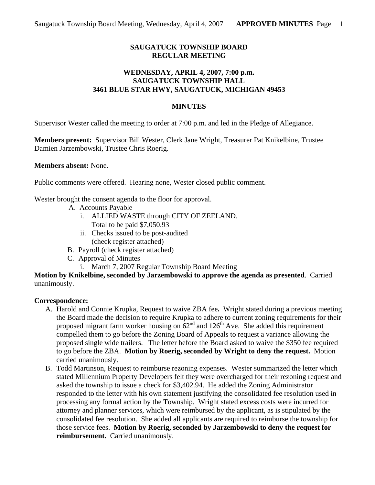# **SAUGATUCK TOWNSHIP BOARD REGULAR MEETING**

### **WEDNESDAY, APRIL 4, 2007, 7:00 p.m. SAUGATUCK TOWNSHIP HALL 3461 BLUE STAR HWY, SAUGATUCK, MICHIGAN 49453**

#### **MINUTES**

Supervisor Wester called the meeting to order at 7:00 p.m. and led in the Pledge of Allegiance.

**Members present:** Supervisor Bill Wester, Clerk Jane Wright, Treasurer Pat Knikelbine, Trustee Damien Jarzembowski, Trustee Chris Roerig.

**Members absent:** None.

Public comments were offered. Hearing none, Wester closed public comment.

Wester brought the consent agenda to the floor for approval.

- A. Accounts Payable
	- i. ALLIED WASTE through CITY OF ZEELAND. Total to be paid \$7,050.93
	- ii. Checks issued to be post-audited (check register attached)
- B. Payroll (check register attached)
- C. Approval of Minutes
	- i. March 7, 2007 Regular Township Board Meeting

**Motion by Knikelbine, seconded by Jarzembowski to approve the agenda as presented**. Carried unanimously.

#### **Correspondence:**

- A. Harold and Connie Krupka, Request to waive ZBA fee**.** Wright stated during a previous meeting the Board made the decision to require Krupka to adhere to current zoning requirements for their proposed migrant farm worker housing on  $62<sup>nd</sup>$  and  $126<sup>th</sup>$  Ave. She added this requirement compelled them to go before the Zoning Board of Appeals to request a variance allowing the proposed single wide trailers. The letter before the Board asked to waive the \$350 fee required to go before the ZBA. **Motion by Roerig, seconded by Wright to deny the request.** Motion carried unanimously.
- B. Todd Martinson, Request to reimburse rezoning expenses. Wester summarized the letter which stated Millennium Property Developers felt they were overcharged for their rezoning request and asked the township to issue a check for \$3,402.94. He added the Zoning Administrator responded to the letter with his own statement justifying the consolidated fee resolution used in processing any formal action by the Township. Wright stated excess costs were incurred for attorney and planner services, which were reimbursed by the applicant, as is stipulated by the consolidated fee resolution. She added all applicants are required to reimburse the township for those service fees. **Motion by Roerig, seconded by Jarzembowski to deny the request for reimbursement.** Carried unanimously.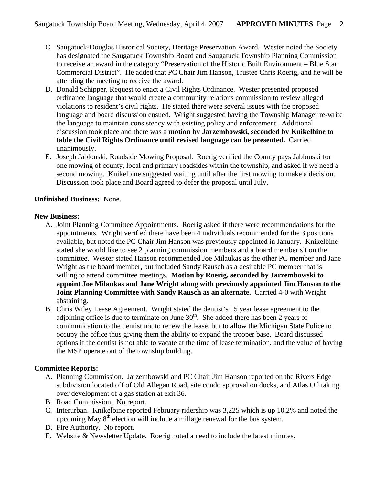- C. Saugatuck-Douglas Historical Society, Heritage Preservation Award. Wester noted the Society has designated the Saugatuck Township Board and Saugatuck Township Planning Commission to receive an award in the category "Preservation of the Historic Built Environment – Blue Star Commercial District". He added that PC Chair Jim Hanson, Trustee Chris Roerig, and he will be attending the meeting to receive the award.
- D. Donald Schipper, Request to enact a Civil Rights Ordinance. Wester presented proposed ordinance language that would create a community relations commission to review alleged violations to resident's civil rights. He stated there were several issues with the proposed language and board discussion ensued. Wright suggested having the Township Manager re-write the language to maintain consistency with existing policy and enforcement. Additional discussion took place and there was a **motion by Jarzembowski, seconded by Knikelbine to table the Civil Rights Ordinance until revised language can be presented.** Carried unanimously.
- E. Joseph Jablonski, Roadside Mowing Proposal. Roerig verified the County pays Jablonski for one mowing of county, local and primary roadsides within the township, and asked if we need a second mowing. Knikelbine suggested waiting until after the first mowing to make a decision. Discussion took place and Board agreed to defer the proposal until July.

### **Unfinished Business:** None.

### **New Business:**

- A. Joint Planning Committee Appointments. Roerig asked if there were recommendations for the appointments. Wright verified there have been 4 individuals recommended for the 3 positions available, but noted the PC Chair Jim Hanson was previously appointed in January. Knikelbine stated she would like to see 2 planning commission members and a board member sit on the committee. Wester stated Hanson recommended Joe Milaukas as the other PC member and Jane Wright as the board member, but included Sandy Rausch as a desirable PC member that is willing to attend committee meetings. **Motion by Roerig, seconded by Jarzembowski to appoint Joe Milaukas and Jane Wright along with previously appointed Jim Hanson to the Joint Planning Committee with Sandy Rausch as an alternate.** Carried 4-0 with Wright abstaining.
- B. Chris Wiley Lease Agreement. Wright stated the dentist's 15 year lease agreement to the adjoining office is due to terminate on June  $30<sup>th</sup>$ . She added there has been 2 years of communication to the dentist not to renew the lease, but to allow the Michigan State Police to occupy the office thus giving them the ability to expand the trooper base. Board discussed options if the dentist is not able to vacate at the time of lease termination, and the value of having the MSP operate out of the township building.

# **Committee Reports:**

- A. Planning Commission. Jarzembowski and PC Chair Jim Hanson reported on the Rivers Edge subdivision located off of Old Allegan Road, site condo approval on docks, and Atlas Oil taking over development of a gas station at exit 36.
- B. Road Commission. No report.
- C. Interurban. Knikelbine reported February ridership was 3,225 which is up 10.2% and noted the upcoming May  $8<sup>th</sup>$  election will include a millage renewal for the bus system.
- D. Fire Authority. No report.
- E. Website & Newsletter Update. Roerig noted a need to include the latest minutes.